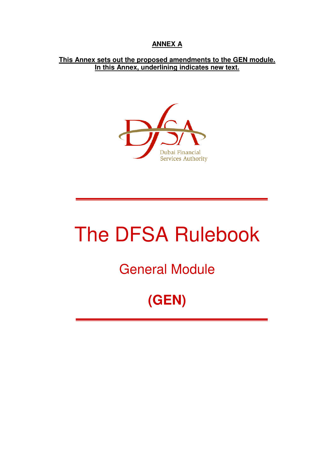### **ANNEX A**

**This Annex sets out the proposed amendments to the GEN module. In this Annex, underlining indicates new text.**



# The DFSA Rulebook

General Module

# **(GEN)**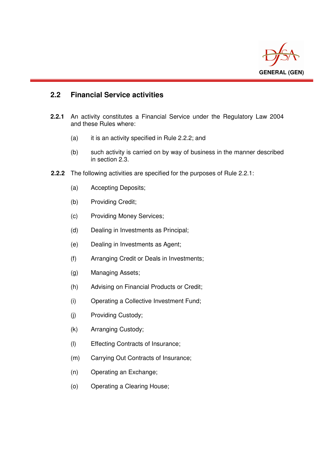

#### **2.2 Financial Service activities**

i

- **2.2.1** An activity constitutes a Financial Service under the Regulatory Law 2004 and these Rules where:
	- (a) it is an activity specified in Rule 2.2.2; and
	- (b) such activity is carried on by way of business in the manner described in section 2.3.
- **2.2.2** The following activities are specified for the purposes of Rule 2.2.1:
	- (a) Accepting Deposits;
	- (b) Providing Credit;
	- (c) Providing Money Services;
	- (d) Dealing in Investments as Principal;
	- (e) Dealing in Investments as Agent;
	- (f) Arranging Credit or Deals in Investments;
	- (g) Managing Assets;
	- (h) Advising on Financial Products or Credit;
	- (i) Operating a Collective Investment Fund;
	- (j) Providing Custody;
	- (k) Arranging Custody;
	- (l) Effecting Contracts of Insurance;
	- (m) Carrying Out Contracts of Insurance;
	- (n) Operating an Exchange;
	- (o) Operating a Clearing House;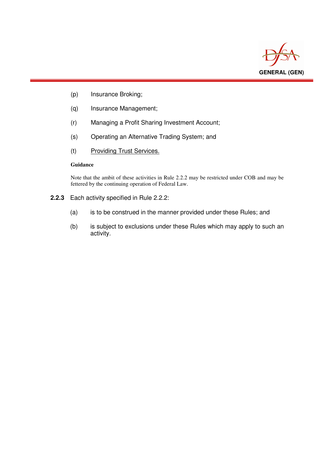

- (p) Insurance Broking;
- (q) Insurance Management;
- (r) Managing a Profit Sharing Investment Account;
- (s) Operating an Alternative Trading System; and
- (t) Providing Trust Services.

#### **Guidance**

i

Note that the ambit of these activities in Rule 2.2.2 may be restricted under COB and may be fettered by the continuing operation of Federal Law.

- **2.2.3** Each activity specified in Rule 2.2.2:
	- (a) is to be construed in the manner provided under these Rules; and
	- (b) is subject to exclusions under these Rules which may apply to such an activity.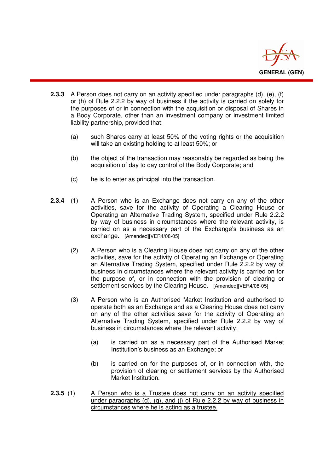

- **2.3.3** A Person does not carry on an activity specified under paragraphs (d), (e), (f) or (h) of Rule 2.2.2 by way of business if the activity is carried on solely for the purposes of or in connection with the acquisition or disposal of Shares in a Body Corporate, other than an investment company or investment limited liability partnership, provided that:
	- (a) such Shares carry at least 50% of the voting rights or the acquisition will take an existing holding to at least 50%; or
	- (b) the object of the transaction may reasonably be regarded as being the acquisition of day to day control of the Body Corporate; and
	- (c) he is to enter as principal into the transaction.

i

- **2.3.4** (1) A Person who is an Exchange does not carry on any of the other activities, save for the activity of Operating a Clearing House or Operating an Alternative Trading System, specified under Rule 2.2.2 by way of business in circumstances where the relevant activity, is carried on as a necessary part of the Exchange's business as an exchange. [Amended][VER4/08-05]
	- (2) A Person who is a Clearing House does not carry on any of the other activities, save for the activity of Operating an Exchange or Operating an Alternative Trading System, specified under Rule 2.2.2 by way of business in circumstances where the relevant activity is carried on for the purpose of, or in connection with the provision of clearing or settlement services by the Clearing House. [Amended][VER4/08-05]
	- (3) A Person who is an Authorised Market Institution and authorised to operate both as an Exchange and as a Clearing House does not carry on any of the other activities save for the activity of Operating an Alternative Trading System, specified under Rule 2.2.2 by way of business in circumstances where the relevant activity:
		- (a) is carried on as a necessary part of the Authorised Market Institution's business as an Exchange; or
		- (b) is carried on for the purposes of, or in connection with, the provision of clearing or settlement services by the Authorised Market Institution.
- **2.3.5** (1) A Person who is a Trustee does not carry on an activity specified under paragraphs (d), (g), and (j) of Rule 2.2.2 by way of business in circumstances where he is acting as a trustee.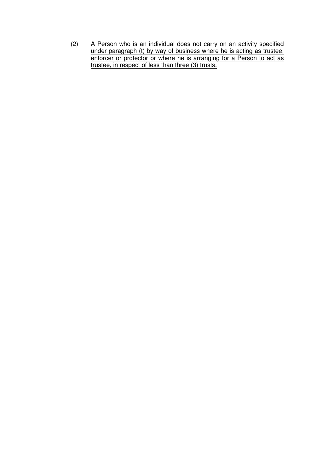(2) A Person who is an individual does not carry on an activity specified under paragraph (t) by way of business where he is acting as trustee, enforcer or protector or where he is arranging for a Person to act as trustee, in respect of less than three (3) trusts.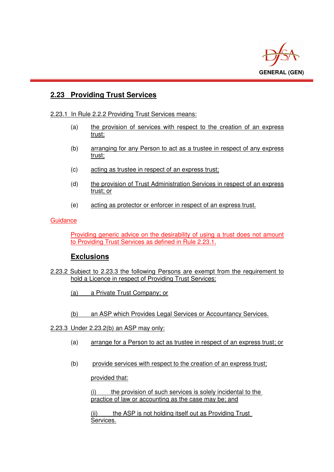

#### **2.23 Providing Trust Services**

#### 2.23.1 In Rule 2.2.2 Providing Trust Services means:

- (a) the provision of services with respect to the creation of an express trust;
- (b) arranging for any Person to act as a trustee in respect of any express trust;
- (c) acting as trustee in respect of an express trust;
- (d) the provision of Trust Administration Services in respect of an express trust; or
- (e) acting as protector or enforcer in respect of an express trust.

#### **Guidance**

i

 Providing generic advice on the desirability of using a trust does not amount to Providing Trust Services as defined in Rule 2.23.1.

#### **Exclusions**

- 2.23.2 Subject to 2.23.3 the following Persons are exempt from the requirement to hold a Licence in respect of Providing Trust Services:
	- (a) a Private Trust Company; or
	- (b) an ASP which Provides Legal Services or Accountancy Services.
- 2.23.3 Under 2.23.2(b) an ASP may only:
	- (a) arrange for a Person to act as trustee in respect of an express trust; or
	- (b) provide services with respect to the creation of an express trust;

provided that:

 (i) the provision of such services is solely incidental to the practice of law or accounting as the case may be; and

 (ii) the ASP is not holding itself out as Providing Trust Services.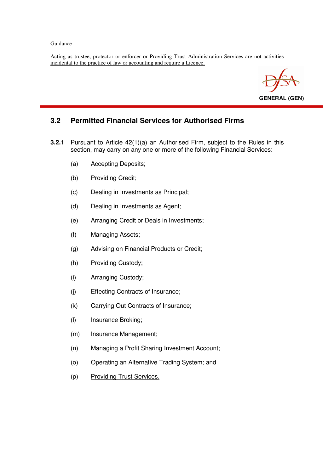#### **Guidance**

l

Acting as trustee, protector or enforcer or Providing Trust Administration Services are not activities incidental to the practice of law or accounting and require a Licence.



#### **3.2 Permitted Financial Services for Authorised Firms**

- **3.2.1** Pursuant to Article 42(1)(a) an Authorised Firm, subject to the Rules in this section, may carry on any one or more of the following Financial Services:
	- (a) Accepting Deposits;
	- (b) Providing Credit;
	- (c) Dealing in Investments as Principal;
	- (d) Dealing in Investments as Agent;
	- (e) Arranging Credit or Deals in Investments;
	- (f) Managing Assets;
	- (g) Advising on Financial Products or Credit;
	- (h) Providing Custody;
	- (i) Arranging Custody;
	- (j) Effecting Contracts of Insurance;
	- (k) Carrying Out Contracts of Insurance;
	- (l) Insurance Broking;
	- (m) Insurance Management;
	- (n) Managing a Profit Sharing Investment Account;
	- (o) Operating an Alternative Trading System; and
	- (p) Providing Trust Services.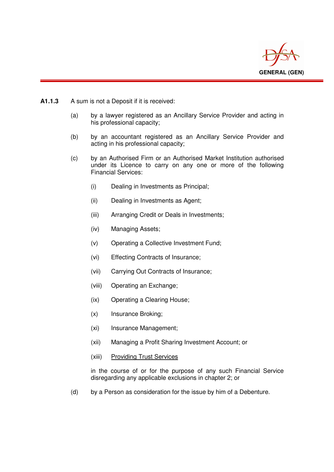

**A1.1.3** A sum is not a Deposit if it is received:

 $\overline{a}$ 

- (a) by a lawyer registered as an Ancillary Service Provider and acting in his professional capacity;
- (b) by an accountant registered as an Ancillary Service Provider and acting in his professional capacity;
- (c) by an Authorised Firm or an Authorised Market Institution authorised under its Licence to carry on any one or more of the following Financial Services:
	- (i) Dealing in Investments as Principal;
	- (ii) Dealing in Investments as Agent;
	- (iii) Arranging Credit or Deals in Investments;
	- (iv) Managing Assets;
	- (v) Operating a Collective Investment Fund;
	- (vi) Effecting Contracts of Insurance;
	- (vii) Carrying Out Contracts of Insurance;
	- (viii) Operating an Exchange;
	- (ix) Operating a Clearing House;
	- (x) Insurance Broking;
	- (xi) Insurance Management;
	- (xii) Managing a Profit Sharing Investment Account; or
	- (xiii) Providing Trust Services

in the course of or for the purpose of any such Financial Service disregarding any applicable exclusions in chapter 2; or

(d) by a Person as consideration for the issue by him of a Debenture.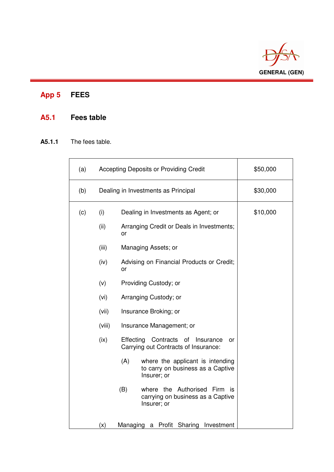

# **App 5 FEES**

i

## **A5.1 Fees table**

#### **A5.1.1** The fees table.

| (a) |                                     | Accepting Deposits or Providing Credit                                                      | \$50,000 |
|-----|-------------------------------------|---------------------------------------------------------------------------------------------|----------|
| (b) | Dealing in Investments as Principal |                                                                                             | \$30,000 |
| (c) | (i)                                 | Dealing in Investments as Agent; or                                                         | \$10,000 |
|     | (ii)                                | Arranging Credit or Deals in Investments;<br>or                                             |          |
|     | (iii)                               | Managing Assets; or                                                                         |          |
|     | (iv)                                | Advising on Financial Products or Credit;<br>or                                             |          |
|     | (v)                                 | Providing Custody; or                                                                       |          |
|     | (vi)                                | Arranging Custody; or                                                                       |          |
|     | (vii)                               | Insurance Broking; or                                                                       |          |
|     | (viii)                              | Insurance Management; or                                                                    |          |
|     | (ix)                                | Effecting<br>Contracts<br>οf<br>Insurance<br>or<br>Carrying out Contracts of Insurance:     |          |
|     |                                     | (A)<br>where the applicant is intending<br>to carry on business as a Captive<br>Insurer; or |          |
|     |                                     | (B)<br>where the Authorised Firm<br>is<br>carrying on business as a Captive<br>Insurer; or  |          |
|     | (x)                                 | a Profit<br>Managing<br>Sharing<br>Investment                                               |          |